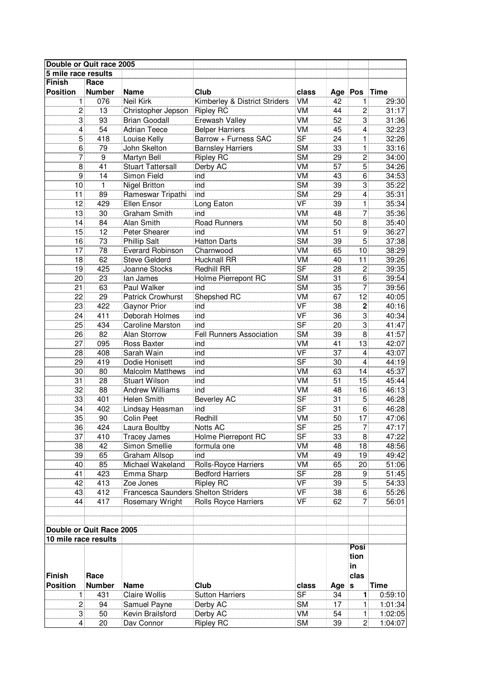| Double or Quit race 2005                         |                 |                                     |                               |                          |                 |                 |             |
|--------------------------------------------------|-----------------|-------------------------------------|-------------------------------|--------------------------|-----------------|-----------------|-------------|
| 5 mile race results                              |                 |                                     |                               |                          |                 |                 |             |
| <b>Finish</b>                                    | Race            |                                     |                               |                          |                 |                 |             |
| <b>Position</b>                                  | <b>Number</b>   | <b>Name</b>                         | Club                          | class                    | Age Pos         |                 | Time        |
| 1                                                | 076             | <b>Neil Kirk</b>                    | Kimberley & District Striders | VM                       | 42              | 1               | 29:30       |
| $\overline{c}$                                   | 13              | Christopher Jepson                  | <b>Ripley RC</b>              | VM                       | 44              | $\overline{2}$  | 31:17       |
| 3                                                | 93              | <b>Brian Goodall</b>                | Erewash Valley                | VM                       | 52              | 3               | 31:36       |
| 4                                                | 54              | <b>Adrian Teece</b>                 | <b>Belper Harriers</b>        | VM                       | 45              | 4               | 32:23       |
| $\overline{5}$                                   | 418             | Louise Kelly                        | Barrow + Furness SAC          | $\overline{\mathsf{SF}}$ | 24              | 1               | 32:26       |
| 6                                                | 79              | John Skelton                        | <b>Barnsley Harriers</b>      | <b>SM</b>                | 33              | 1               | 33:16       |
| 7                                                | $\overline{9}$  | Martyn Bell                         | <b>Ripley RC</b>              | $\overline{\text{SM}}$   | 29              | $\overline{2}$  | 34:00       |
| 8                                                | 41              | <b>Stuart Tattersall</b>            | Derby AC                      | <b>VM</b>                | 57              | $\overline{5}$  | 34:26       |
| 9                                                | 14              | Simon Field                         | ind                           | <b>VM</b>                | 43              | 6               | 34:53       |
| 10                                               | $\mathbf{1}$    | <b>Nigel Britton</b>                | ind                           | <b>SM</b>                | 39              | 3               | 35:22       |
| 11                                               | 89              | Rameswar Tripathi                   | ind                           | <b>SM</b>                | 29              | 4               | 35:31       |
| 12                                               | 429             | Ellen Ensor                         | Long Eaton                    | $\overline{\mathsf{VF}}$ | 39              | 1               | 35:34       |
| 13                                               | 30              | Graham Smith                        | ind                           | VM                       | 48              | 7               | 35:36       |
| 14                                               | 84              | Alan Smith                          | <b>Road Runners</b>           | $\overline{\text{VM}}$   | 50              | 8               | 35:40       |
| 15                                               | 12              | Peter Shearer                       | ind                           | VM                       | 51              | 9               | 36:27       |
| $\overline{16}$                                  | $\overline{73}$ | <b>Phillip Salt</b>                 | <b>Hatton Darts</b>           | $\overline{\text{SM}}$   | $\overline{39}$ | $\overline{5}$  | 37:38       |
| $\overline{17}$                                  | 78              | <b>Everard Robinson</b>             | Charnwood                     | $\overline{\text{VM}}$   | 65              | 10              | 38:29       |
|                                                  | 62              |                                     |                               | $\overline{\text{VM}}$   |                 | $\overline{11}$ |             |
| 18                                               |                 | <b>Steve Gelderd</b>                | <b>Hucknall RR</b>            |                          | 40              |                 | 39:26       |
| 19                                               | 425             | Joanne Stocks                       | <b>Redhill RR</b>             | $\overline{\mathsf{SF}}$ | 28              | $\overline{c}$  | 39:35       |
| 20                                               | 23              | lan James                           | Holme Pierrepont RC           | <b>SM</b>                | 31              | 6               | 39:54       |
| 21                                               | 63              | Paul Walker                         | ind                           | <b>SM</b>                | 35              | 7               | 39:56       |
| 22                                               | 29              | <b>Patrick Crowhurst</b>            | Shepshed RC                   | VM                       | 67              | 12              | 40:05       |
| 23                                               | 422             | <b>Gaynor Prior</b>                 | ind                           | <b>VF</b>                | 38              | $\mathbf 2$     | 40:16       |
| 24                                               | 411             | Deborah Holmes                      | ind                           | <b>VF</b>                | 36              | 3               | 40:34       |
| 25                                               | 434             | <b>Caroline Marston</b>             | ind                           | <b>SF</b>                | 20              | 3               | 41:47       |
| 26                                               | 82              | Alan Storrow                        | Fell Runners Association      | <b>SM</b>                | 39              | 8               | 41:57       |
| 27                                               | 095             | Ross Baxter                         | ind                           | VM                       | 41              | 13              | 42:07       |
| 28                                               | 408             | Sarah Wain                          | ind                           | <b>VF</b>                | $\overline{37}$ | 4               | 43:07       |
| 29                                               | 419             | Dodie Honisett                      | ind                           | $\overline{\mathsf{SF}}$ | 30              | 4               | 44:19       |
| 30                                               | 80              | <b>Malcolm Matthews</b>             | ind                           | <b>VM</b>                | 63              | 14              | 45:37       |
| 31                                               | 28              | <b>Stuart Wilson</b>                | ind                           | <b>VM</b>                | 51              | 15              | 45:44       |
| $\overline{32}$                                  | 88              | <b>Andrew Williams</b>              | ind                           | VM                       | 48              | 16              | 46:13       |
| 33                                               | 401             | <b>Helen Smith</b>                  | <b>Beverley AC</b>            | $\overline{\mathsf{SF}}$ | 31              | $\mathbf 5$     | 46:28       |
| 34                                               | 402             | Lindsay Heasman                     | ind                           | $\overline{\mathsf{SF}}$ | 31              | 6               | 46:28       |
| 35                                               | 90              | Colin Peet                          | Redhill                       | VM                       | 50              | 17              | 47:06       |
| 36                                               | 424             | Laura Boultby                       | Notts AC                      | $\overline{\mathsf{SF}}$ | 25              | 7               | 47:17       |
| 37                                               | 410             | <b>Tracey James</b>                 | Holme Pierrepont RC           | SF                       | 33              | 8               | 47:22       |
| 38                                               | 42              | Simon Smellie                       | formula one                   | VM                       | 48              | 18              | 48:56       |
| 39                                               | 65              | <b>Graham Allsop</b>                | ind                           | <b>VM</b>                | 49              | 19              | 49:42       |
| 40                                               | 85              | Michael Wakeland                    | Rolls-Royce Harriers          | <b>VM</b>                | 65              | 20              | 51:06       |
| 41                                               | 423             | Emma Sharp                          | <b>Bedford Harriers</b>       | $\overline{\mathsf{SF}}$ | 28              | 9               | 51:45       |
| 42                                               | 413             | Zoe Jones                           | <b>Ripley RC</b>              | $\overline{\mathsf{VF}}$ | 39              | $\overline{5}$  | 54:33       |
| 43                                               | 412             | Francesca Saunders Shelton Striders |                               | $\overline{\mathsf{VF}}$ | 38              | $\overline{6}$  | 55:26       |
| 44                                               | 417             | Rosemary Wright                     | <b>Rolls Royce Harriers</b>   | VF                       | 62              | 7               | 56:01       |
|                                                  |                 |                                     |                               |                          |                 |                 |             |
|                                                  |                 |                                     |                               |                          |                 |                 |             |
|                                                  |                 |                                     |                               |                          |                 |                 |             |
| Double or Quit Race 2005<br>10 mile race results |                 |                                     |                               |                          |                 |                 |             |
|                                                  |                 |                                     |                               |                          |                 | Posi            |             |
|                                                  |                 |                                     |                               |                          |                 | tion            |             |
|                                                  |                 |                                     |                               |                          |                 | in              |             |
| <b>Finish</b>                                    | Race            |                                     |                               |                          |                 | clas            |             |
| <b>Position</b>                                  | <b>Number</b>   | <b>Name</b>                         | Club                          | class                    | Age s           |                 | <b>Time</b> |
| 1                                                | 431             | Claire Wollis                       | <b>Sutton Harriers</b>        | $\overline{\mathsf{SF}}$ | 34              | 1               | 0:59:10     |
| 2                                                | 94              | Samuel Payne                        | Derby AC                      | <b>SM</b>                | 17              | 1               | 1:01:34     |
| $\mathbf{3}$                                     | 50              | Kevin Brailsford                    | Derby AC                      | VM                       | 54              | $\mathbf{1}$    | 1:02:05     |
| 4                                                | 20              | Dav Connor                          | <b>Ripley RC</b>              | <b>SM</b>                | 39              | 2               | 1:04:07     |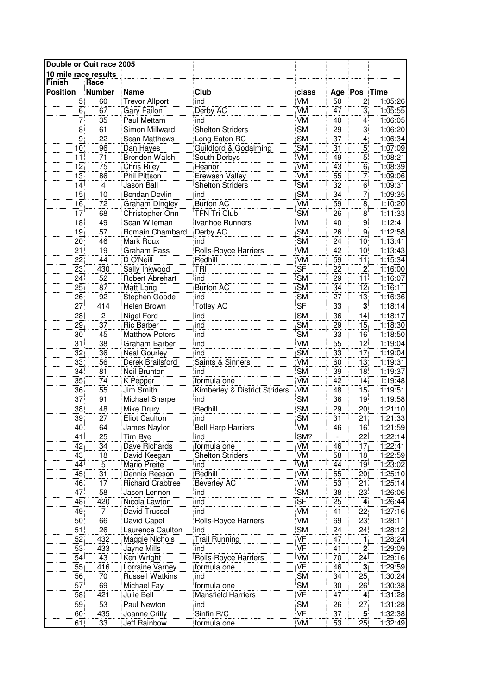| Double or Quit race 2005 |                 |                              |                                |                          |                 |                 |                    |
|--------------------------|-----------------|------------------------------|--------------------------------|--------------------------|-----------------|-----------------|--------------------|
| 10 mile race results     |                 |                              |                                |                          |                 |                 |                    |
| <b>Finish</b>            | Race            |                              |                                |                          |                 |                 |                    |
| <b>Position</b>          | <b>Number</b>   | <b>Name</b>                  | Club                           | class                    | Age Pos         |                 | Time               |
| 5                        | 60              | <b>Trevor Allport</b>        | ind                            | VM                       | 50              | 2               | 1:05:26            |
| 6                        | 67              | Gary Failon                  | Derby AC                       | VM                       | 47              | 3               | 1:05:55            |
| 7                        | 35              | Paul Mettam                  | ind                            | VM                       | 40              | 4               | 1:06:05            |
| 8                        | 61              | Simon Millward               | <b>Shelton Striders</b>        | <b>SM</b>                | 29              | 3               | 1:06:20            |
| $\overline{9}$           | $\overline{22}$ | Sean Matthews                | Long Eaton RC                  | $\overline{\text{SM}}$   | $\overline{37}$ | 4               | 1:06:34            |
| 10                       | 96              | Dan Hayes                    | Guildford & Godalming          | $\overline{\text{SM}}$   | 31              | 5               | 1:07:09            |
| 11                       | $\overline{71}$ | <b>Brendon Walsh</b>         | South Derbys                   | <b>VM</b>                | 49              | $\overline{5}$  | 1:08:21            |
| $\overline{12}$          | $\overline{75}$ | <b>Chris Riley</b>           | Heanor                         | $\overline{\text{VM}}$   | 43              | 6               | 1:08:39            |
| 13                       | 86              | Phil Pittson                 | <b>Erewash Valley</b>          | $\overline{\text{VM}}$   | $\overline{55}$ | 7               | 1:09:06            |
| 14                       | $\overline{4}$  | Jason Ball                   | <b>Shelton Striders</b>        | <b>SM</b>                | 32              | 6               | 1:09:31            |
| 15                       | 10              | <b>Bendan Devlin</b>         | ind                            | <b>SM</b>                | 34              | 7               | 1:09:35            |
| 16                       | 72              | <b>Graham Dingley</b>        | <b>Burton AC</b>               | VM                       | 59              | 8               | 1:10:20            |
| 17                       | 68              | Christopher Onn              | <b>TFN Tri Club</b>            | <b>SM</b>                | 26              | 8               | 1:11:33            |
| 18                       | 49              | Sean Wileman                 | Ivanhoe Runners                | VM                       | 40              | 9               | 1:12:41            |
| 19                       | 57              | Romain Chambard              | Derby AC                       | <b>SM</b>                | 26              | $\overline{9}$  | 1:12:58            |
| 20                       | 46              | Mark Roux                    | ind                            | $\overline{\text{SM}}$   | 24              | 10              | 1:13:41            |
| 21                       | $\overline{19}$ | <b>Graham Pass</b>           | Rolls-Royce Harriers           | <b>VM</b>                | 42              | 10              | 1:13:43            |
| 22                       | 44              | D O'Neill                    | Redhill                        | <b>VM</b>                | 59              | 11              | 1:15:34            |
| 23                       | 430             | Sally Inkwood                | <b>TRI</b>                     | $\overline{\mathsf{SF}}$ | $\overline{22}$ | $\overline{2}$  | 1:16:00            |
| 24                       | 52              | Robert Abrehart              | ind                            | <b>SM</b>                | 29              | 11              | 1:16:07            |
| 25                       | 87              | Matt Long                    | <b>Burton AC</b>               | <b>SM</b>                | 34              | 12              | 1:16:11            |
| 26                       | 92              | Stephen Goode                | ind                            | <b>SM</b>                | 27              | 13              | 1:16:36            |
| 27                       | 414             | Helen Brown                  | <b>Totley AC</b>               | SF                       | 33              | 3               | 1:18:14            |
| 28                       | $\overline{c}$  | Nigel Ford                   | ind                            | <b>SM</b>                | 36              | 14              | 1:18:17            |
| 29                       | 37              | <b>Ric Barber</b>            | ind                            | <b>SM</b>                | 29              | 15              | 1:18:30            |
| 30                       | 45              | <b>Matthew Peters</b>        | ind                            | <b>SM</b>                | 33              | 16              | 1:18:50            |
| 31                       | 38              | Graham Barber                | ind                            | VM                       | 55              | 12              | 1:19:04            |
| 32                       | 36              | <b>Neal Gourley</b>          | ind                            | <b>SM</b>                | 33              | 17              | 1:19:04            |
| 33                       | 56              | Derek Brailsford             | Saints & Sinners               | VM                       | 60              | 13              | 1:19:31            |
| 34                       | 81              | Neil Brunton                 | ind                            | $\overline{\text{SM}}$   | 39              | $\overline{18}$ | 1:19:37            |
| $\overline{35}$          | $\overline{74}$ | <b>K</b> Pepper              | formula one                    | <b>VM</b>                | 42              | $\overline{14}$ | 1:19:48            |
| $\overline{36}$          | $\overline{55}$ | Jim Smith                    | Kimberley & District Striders  | $\overline{\text{VM}}$   | 48              | $\overline{15}$ | 1:19:51            |
| 37                       | 91              | Michael Sharpe               | ind                            | $\overline{\text{SM}}$   | 36              | 19              | 1:19:58            |
| 38                       | 48              | Mike Drury                   | Redhill                        | <b>SM</b>                | 29              | 20              | 1:21:10            |
| 39                       | 27              | <b>Eliot Caulton</b>         | ind                            | <b>SM</b>                | 31              | 21              | 1:21:33            |
| 40                       | 64              | James Naylor                 | <b>Bell Harp Harriers</b>      | VM                       | 46              | 16              | 1:21:59            |
| 41                       |                 |                              |                                | SM?                      | $\blacksquare$  | 22              | 1:22:14            |
|                          | 25<br>34        | Tim Bye<br>Dave Richards     | ind                            |                          |                 |                 |                    |
| 42<br>43                 | 18              |                              | formula one                    | VM<br><b>VM</b>          | 46<br>58        | 17<br>18        | 1:22:41            |
| 44                       | $\overline{5}$  | David Keegan<br>Mario Preite | <b>Shelton Striders</b><br>ind | <b>VM</b>                | 44              | 19              | 1:22:59            |
| 45                       | $\overline{31}$ | Dennis Reeson                | Redhill                        | VM                       | 55              | 20              | 1:23:02            |
| 46                       | $\overline{17}$ | <b>Richard Crabtree</b>      | Beverley AC                    | $\overline{\text{VM}}$   | 53              | 21              | 1:25:10<br>1:25:14 |
| 47                       | 58              |                              | ind                            | <b>SM</b>                | 38              | 23              | 1:26:06            |
|                          |                 | Jason Lennon                 |                                | <b>SF</b>                |                 |                 | 1:26:44            |
| 48                       | 420             | Nicola Lawton                | ind                            |                          | 25              | 4               |                    |
| 49                       | 7               | David Trussell               | ind                            | VM                       | 41              | 22              | 1:27:16            |
| 50                       | 66              | David Capel                  | Rolls-Royce Harriers           | VM                       | 69              | 23              | 1:28:11            |
| 51                       | 26              | Laurence Caulton             | ind                            | <b>SM</b><br><b>VF</b>   | 24              | 24              | 1:28:12            |
| 52                       | 432             | Maggie Nichols               | <b>Trail Running</b>           | <b>VF</b>                | 47              | 1               | 1:28:24            |
| 53                       | 433             | Jayne Mills                  | ind                            |                          | 41              | $\mathbf{2}$    | 1:29:09            |
| 54                       | 43              | Ken Wright                   | Rolls-Royce Harriers           | $\overline{\text{VM}}$   | $\overline{70}$ | 24              | 1:29:16            |
| 55                       | 416             | Lorraine Varney              | formula one                    | VF                       | 46              | $\mathbf{3}$    | 1:29:59            |
| 56                       | 70              | <b>Russell Watkins</b>       | ind                            | <b>SM</b>                | 34              | 25              | 1:30:24            |
| 57                       | 69              | Michael Fay                  | formula one                    | <b>SM</b>                | 30              | 26              | 1:30:38            |
| 58                       | 421             | Julie Bell                   | <b>Mansfield Harriers</b>      | $\overline{\mathsf{VF}}$ | 47              | 4               | 1:31:28            |
| 59                       | 53              | Paul Newton                  | ind                            | <b>SM</b>                | 26              | 27              | 1:31:28            |
| 60                       | 435             | Joanne Crilly                | Sinfin R/C                     | $\overline{\mathsf{VF}}$ | 37              | 5 <sup>1</sup>  | 1:32:38            |
| 61                       | 33              | Jeff Rainbow                 | formula one                    | VM                       | 53              | 25              | 1:32:49            |